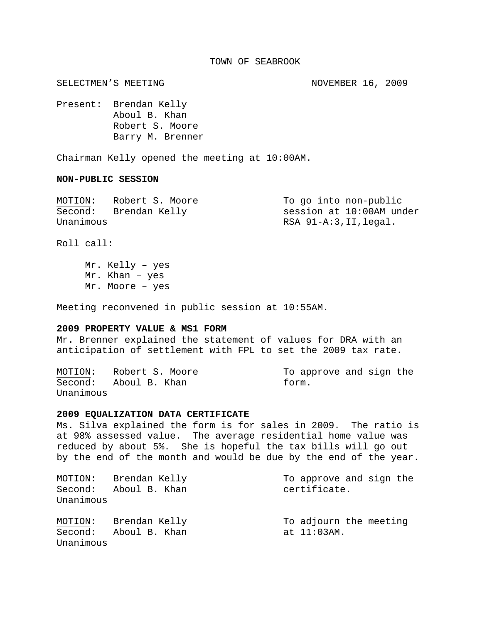## TOWN OF SEABROOK

SELECTMEN'S MEETING NOVEMBER 16, 2009

Present: Brendan Kelly Aboul B. Khan Robert S. Moore Barry M. Brenner

Chairman Kelly opened the meeting at 10:00AM.

## **NON-PUBLIC SESSION**

| MOTION:   | Robert S. Moore | To go into non-public    |  |
|-----------|-----------------|--------------------------|--|
| Second:   | Brendan Kelly   | session at 10:00AM under |  |
| Unanimous |                 | RSA 91-A:3,II,legal.     |  |

Roll call:

 Mr. Kelly – yes Mr. Khan – yes Mr. Moore – yes

Meeting reconvened in public session at 10:55AM.

## **2009 PROPERTY VALUE & MS1 FORM**

Mr. Brenner explained the statement of values for DRA with an anticipation of settlement with FPL to set the 2009 tax rate.

MOTION: Robert S. Moore To approve and sign the Second: Aboul B. Khan form. Unanimous

## **2009 EQUALIZATION DATA CERTIFICATE**

Ms. Silva explained the form is for sales in 2009. The ratio is at 98% assessed value. The average residential home value was reduced by about 5%. She is hopeful the tax bills will go out by the end of the month and would be due by the end of the year.

| MOTION:              | Brendan Kelly | To approve and sign the |
|----------------------|---------------|-------------------------|
| Second:<br>Unanimous | Aboul B. Khan | certificate.            |
| MOTION:              | Brendan Kelly | To adjourn the meeting  |
| Second:<br>Unanimous | Aboul B. Khan | at $11:03$ AM.          |